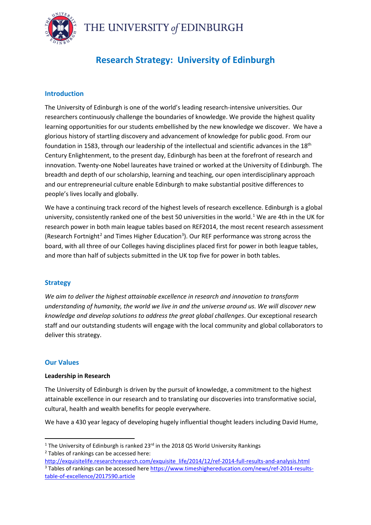THE UNIVERSITY of EDINBURGH



# **Research Strategy: University of Edinburgh**

## **Introduction**

The University of Edinburgh is one of the world's leading research-intensive universities. Our researchers continuously challenge the boundaries of knowledge. We provide the highest quality learning opportunities for our students embellished by the new knowledge we discover. We have a glorious history of startling discovery and advancement of knowledge for public good. From our foundation in 1583, through our leadership of the intellectual and scientific advances in the 18<sup>th</sup> Century Enlightenment, to the present day, Edinburgh has been at the forefront of research and innovation. Twenty-one Nobel laureates have trained or worked at the University of Edinburgh. The breadth and depth of our scholarship, learning and teaching, our open interdisciplinary approach and our entrepreneurial culture enable Edinburgh to make substantial positive differences to people's lives locally and globally.

We have a continuing track record of the highest levels of research excellence. Edinburgh is a global university, consistently ranked one of the best 50 universities in the world. [1](#page-0-0) We are 4th in the UK for research power in both main league tables based on REF2014, the most recent research assessment (Research Fortnight<sup>[2](#page-0-1)</sup> and Times Higher Education<sup>[3](#page-0-2)</sup>). Our REF performance was strong across the board, with all three of our Colleges having disciplines placed first for power in both league tables, and more than half of subjects submitted in the UK top five for power in both tables.

## **Strategy**

*We aim to deliver the highest attainable excellence in research and innovation to transform understanding of humanity, the world we live in and the universe around us. We will discover new knowledge and develop solutions to address the great global challenges*. Our exceptional research staff and our outstanding students will engage with the local community and global collaborators to deliver this strategy.

## **Our Values**

## **Leadership in Research**

The University of Edinburgh is driven by the pursuit of knowledge, a commitment to the highest attainable excellence in our research and to translating our discoveries into transformative social, cultural, health and wealth benefits for people everywhere.

We have a 430 year legacy of developing hugely influential thought leaders including David Hume,

<span id="page-0-0"></span><sup>&</sup>lt;sup>1</sup> The University of Edinburgh is ranked 23 $rd$  in the 2018 QS World University Rankings

<span id="page-0-1"></span><sup>2</sup> Tables of rankings can be accessed here:

<span id="page-0-2"></span>[http://exquisitelife.researchresearch.com/exquisite\\_life/2014/12/ref-2014-full-results-and-analysis.html](http://exquisitelife.researchresearch.com/exquisite_life/2014/12/ref-2014-full-results-and-analysis.html) <sup>3</sup> Tables of rankings can be accessed her[e https://www.timeshighereducation.com/news/ref-2014-results](https://www.timeshighereducation.com/news/ref-2014-results-table-of-excellence/2017590.article)[table-of-excellence/2017590.article](https://www.timeshighereducation.com/news/ref-2014-results-table-of-excellence/2017590.article)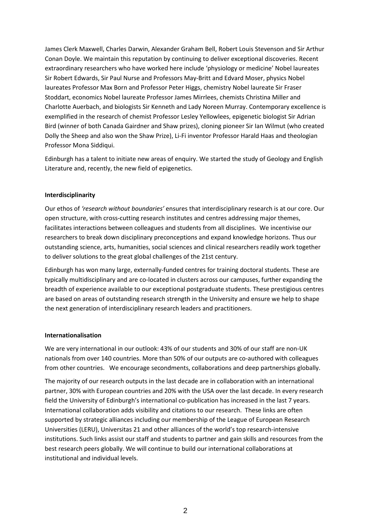James Clerk Maxwell, Charles Darwin, Alexander Graham Bell, Robert Louis Stevenson and Sir Arthur Conan Doyle. We maintain this reputation by continuing to deliver exceptional discoveries. Recent extraordinary researchers who have worked here include 'physiology or medicine' Nobel laureates Sir Robert Edwards, Sir Paul Nurse and Professors May-Britt and Edvard Moser, physics Nobel laureates Professor Max Born and Professor Peter Higgs, chemistry Nobel laureate Sir Fraser Stoddart, economics Nobel laureate Professor James Mirrlees, chemists Christina Miller and Charlotte Auerbach, and biologists Sir Kenneth and Lady Noreen Murray. Contemporary excellence is exemplified in the research of chemist Professor Lesley Yellowlees, epigenetic biologist Sir Adrian Bird (winner of both Canada Gairdner and Shaw prizes), cloning pioneer Sir Ian Wilmut (who created Dolly the Sheep and also won the Shaw Prize), Li-Fi inventor Professor Harald Haas and theologian Professor Mona Siddiqui.

Edinburgh has a talent to initiate new areas of enquiry. We started the study of Geology and English Literature and, recently, the new field of epigenetics.

#### **Interdisciplinarity**

Our ethos of *'research without boundaries'* ensures that interdisciplinary research is at our core. Our open structure, with cross-cutting research institutes and centres addressing major themes, facilitates interactions between colleagues and students from all disciplines. We incentivise our researchers to break down disciplinary preconceptions and expand knowledge horizons. Thus our outstanding science, arts, humanities, social sciences and clinical researchers readily work together to deliver solutions to the great global challenges of the 21st century.

Edinburgh has won many large, externally-funded centres for training doctoral students. These are typically multidisciplinary and are co-located in clusters across our campuses, further expanding the breadth of experience available to our exceptional postgraduate students. These prestigious centres are based on areas of outstanding research strength in the University and ensure we help to shape the next generation of interdisciplinary research leaders and practitioners.

#### **Internationalisation**

We are very international in our outlook: 43% of our students and 30% of our staff are non-UK nationals from over 140 countries. More than 50% of our outputs are co-authored with colleagues from other countries. We encourage secondments, collaborations and deep partnerships globally.

The majority of our research outputs in the last decade are in collaboration with an international partner, 30% with European countries and 20% with the USA over the last decade. In every research field the University of Edinburgh's international co-publication has increased in the last 7 years. International collaboration adds visibility and citations to our research. These links are often supported by strategic alliances including our membership of the League of European Research Universities (LERU), Universitas 21 and other alliances of the world's top research-intensive institutions. Such links assist our staff and students to partner and gain skills and resources from the best research peers globally. We will continue to build our international collaborations at institutional and individual levels.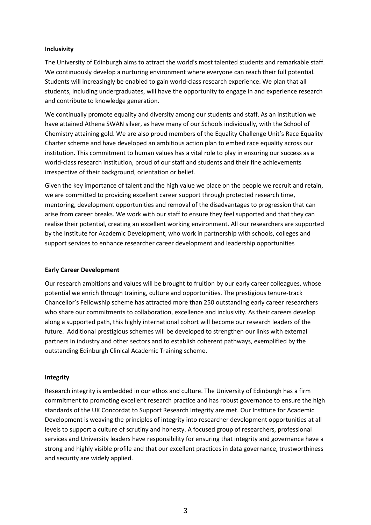#### **Inclusivity**

The University of Edinburgh aims to attract the world's most talented students and remarkable staff. We continuously develop a nurturing environment where everyone can reach their full potential. Students will increasingly be enabled to gain world-class research experience. We plan that all students, including undergraduates, will have the opportunity to engage in and experience research and contribute to knowledge generation.

We continually promote equality and diversity among our students and staff. As an institution we have attained Athena SWAN silver, as have many of our Schools individually, with the School of Chemistry attaining gold. We are also proud members of the Equality Challenge Unit's Race Equality Charter scheme and have developed an ambitious action plan to embed race equality across our institution. This commitment to human values has a vital role to play in ensuring our success as a world-class research institution, proud of our staff and students and their fine achievements irrespective of their background, orientation or belief.

Given the key importance of talent and the high value we place on the people we recruit and retain, we are committed to providing excellent career support through protected research time, mentoring, development opportunities and removal of the disadvantages to progression that can arise from career breaks. We work with our staff to ensure they feel supported and that they can realise their potential, creating an excellent working environment. All our researchers are supported by the Institute for Academic Development, who work in partnership with schools, colleges and support services to enhance researcher career development and leadership opportunities

#### **Early Career Development**

Our research ambitions and values will be brought to fruition by our early career colleagues, whose potential we enrich through training, culture and opportunities. The prestigious tenure-track Chancellor's Fellowship scheme has attracted more than 250 outstanding early career researchers who share our commitments to collaboration, excellence and inclusivity. As their careers develop along a supported path, this highly international cohort will become our research leaders of the future. Additional prestigious schemes will be developed to strengthen our links with external partners in industry and other sectors and to establish coherent pathways, exemplified by the outstanding Edinburgh Clinical Academic Training scheme.

#### **Integrity**

Research integrity is embedded in our ethos and culture. The University of Edinburgh has a firm commitment to promoting excellent research practice and has robust governance to ensure the high standards of the UK Concordat to Support Research Integrity are met. Our Institute for Academic Development is weaving the principles of integrity into researcher development opportunities at all levels to support a culture of scrutiny and honesty. A focused group of researchers, professional services and University leaders have responsibility for ensuring that integrity and governance have a strong and highly visible profile and that our excellent practices in data governance, trustworthiness and security are widely applied.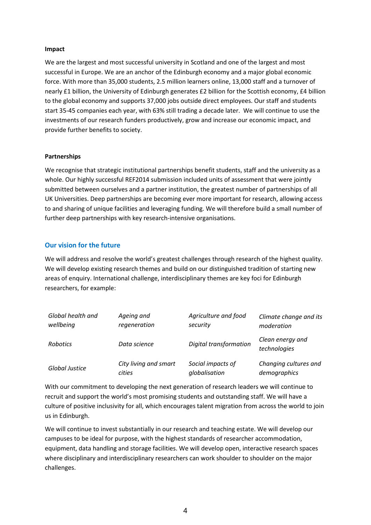#### **Impact**

We are the largest and most successful university in Scotland and one of the largest and most successful in Europe. We are an anchor of the Edinburgh economy and a major global economic force. With more than 35,000 students, 2.5 million learners online, 13,000 staff and a turnover of nearly £1 billion, the University of Edinburgh generates £2 billion for the Scottish economy, £4 billion to the global economy and supports 37,000 jobs outside direct employees. Our staff and students start 35-45 companies each year, with 63% still trading a decade later. We will continue to use the investments of our research funders productively, grow and increase our economic impact, and provide further benefits to society.

#### **Partnerships**

We recognise that strategic institutional partnerships benefit students, staff and the university as a whole. Our highly successful REF2014 submission included units of assessment that were jointly submitted between ourselves and a partner institution, the greatest number of partnerships of all UK Universities. Deep partnerships are becoming ever more important for research, allowing access to and sharing of unique facilities and leveraging funding. We will therefore build a small number of further deep partnerships with key research-intensive organisations.

### **Our vision for the future**

We will address and resolve the world's greatest challenges through research of the highest quality. We will develop existing research themes and build on our distinguished tradition of starting new areas of enquiry. International challenge, interdisciplinary themes are key foci for Edinburgh researchers, for example:

| Global health and | Ageing and            | Agriculture and food   | Climate change and its           |
|-------------------|-----------------------|------------------------|----------------------------------|
| wellbeing         | regeneration          | security               | moderation                       |
| <b>Robotics</b>   | Data science          | Digital transformation | Clean energy and<br>technologies |
| Global Justice    | City living and smart | Social impacts of      | Changing cultures and            |
|                   | cities                | globalisation          | demographics                     |

With our commitment to developing the next generation of research leaders we will continue to recruit and support the world's most promising students and outstanding staff. We will have a culture of positive inclusivity for all, which encourages talent migration from across the world to join us in Edinburgh.

We will continue to invest substantially in our research and teaching estate. We will develop our campuses to be ideal for purpose, with the highest standards of researcher accommodation, equipment, data handling and storage facilities. We will develop open, interactive research spaces where disciplinary and interdisciplinary researchers can work shoulder to shoulder on the major challenges.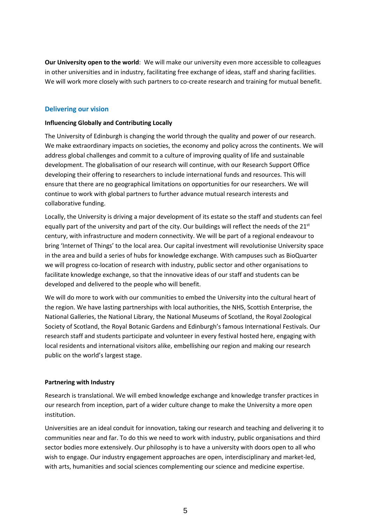**Our University open to the world**: We will make our university even more accessible to colleagues in other universities and in industry, facilitating free exchange of ideas, staff and sharing facilities. We will work more closely with such partners to co-create research and training for mutual benefit.

## **Delivering our vision**

### **Influencing Globally and Contributing Locally**

The University of Edinburgh is changing the world through the quality and power of our research. We make extraordinary impacts on societies, the economy and policy across the continents. We will address global challenges and commit to a culture of improving quality of life and sustainable development. The globalisation of our research will continue, with our Research Support Office developing their offering to researchers to include international funds and resources. This will ensure that there are no geographical limitations on opportunities for our researchers. We will continue to work with global partners to further advance mutual research interests and collaborative funding.

Locally, the University is driving a major development of its estate so the staff and students can feel equally part of the university and part of the city. Our buildings will reflect the needs of the  $21^{st}$ century, with infrastructure and modern connectivity. We will be part of a regional endeavour to bring 'Internet of Things' to the local area. Our capital investment will revolutionise University space in the area and build a series of hubs for knowledge exchange. With campuses such as BioQuarter we will progress co-location of research with industry, public sector and other organisations to facilitate knowledge exchange, so that the innovative ideas of our staff and students can be developed and delivered to the people who will benefit.

We will do more to work with our communities to embed the University into the cultural heart of the region. We have lasting partnerships with local authorities, the NHS, Scottish Enterprise, the National Galleries, the National Library, the National Museums of Scotland, the Royal Zoological Society of Scotland, the Royal Botanic Gardens and Edinburgh's famous International Festivals. Our research staff and students participate and volunteer in every festival hosted here, engaging with local residents and international visitors alike, embellishing our region and making our research public on the world's largest stage.

#### **Partnering with Industry**

Research is translational. We will embed knowledge exchange and knowledge transfer practices in our research from inception, part of a wider culture change to make the University a more open institution.

Universities are an ideal conduit for innovation, taking our research and teaching and delivering it to communities near and far. To do this we need to work with industry, public organisations and third sector bodies more extensively. Our philosophy is to have a university with doors open to all who wish to engage. Our industry engagement approaches are open, interdisciplinary and market-led, with arts, humanities and social sciences complementing our science and medicine expertise.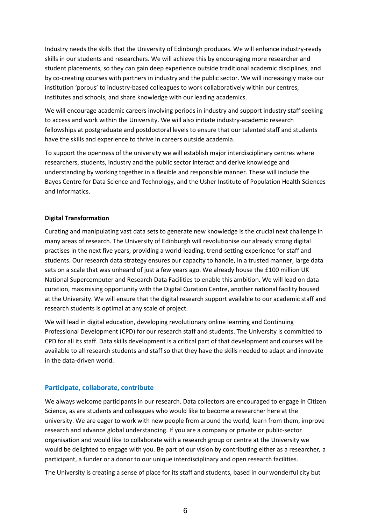Industry needs the skills that the University of Edinburgh produces. We will enhance industry-ready skills in our students and researchers. We will achieve this by encouraging more researcher and student placements, so they can gain deep experience outside traditional academic disciplines, and by co-creating courses with partners in industry and the public sector. We will increasingly make our institution 'porous' to industry-based colleagues to work collaboratively within our centres, institutes and schools, and share knowledge with our leading academics.

We will encourage academic careers involving periods in industry and support industry staff seeking to access and work within the University. We will also initiate industry-academic research fellowships at postgraduate and postdoctoral levels to ensure that our talented staff and students have the skills and experience to thrive in careers outside academia.

To support the openness of the university we will establish major interdisciplinary centres where researchers, students, industry and the public sector interact and derive knowledge and understanding by working together in a flexible and responsible manner. These will include the Bayes Centre for Data Science and Technology, and the Usher Institute of Population Health Sciences and Informatics.

#### **Digital Transformation**

Curating and manipulating vast data sets to generate new knowledge is the crucial next challenge in many areas of research. The University of Edinburgh will revolutionise our already strong digital practises in the next five years, providing a world-leading, trend-setting experience for staff and students. Our research data strategy ensures our capacity to handle, in a trusted manner, large data sets on a scale that was unheard of just a few years ago. We already house the £100 million UK National Supercomputer and Research Data Facilities to enable this ambition. We will lead on data curation, maximising opportunity with the Digital Curation Centre, another national facility housed at the University. We will ensure that the digital research support available to our academic staff and research students is optimal at any scale of project.

We will lead in digital education, developing revolutionary online learning and Continuing Professional Development (CPD) for our research staff and students. The University is committed to CPD for all its staff. Data skills development is a critical part of that development and courses will be available to all research students and staff so that they have the skills needed to adapt and innovate in the data-driven world.

## **Participate, collaborate, contribute**

We always welcome participants in our research. Data collectors are encouraged to engage in Citizen Science, as are students and colleagues who would like to become a researcher here at the university. We are eager to work with new people from around the world, learn from them, improve research and advance global understanding. If you are a company or private or public-sector organisation and would like to collaborate with a research group or centre at the University we would be delighted to engage with you. Be part of our vision by contributing either as a researcher*,* a participant, a funder or a donor to our unique interdisciplinary and open research facilities.

The University is creating a sense of place for its staff and students, based in our wonderful city but